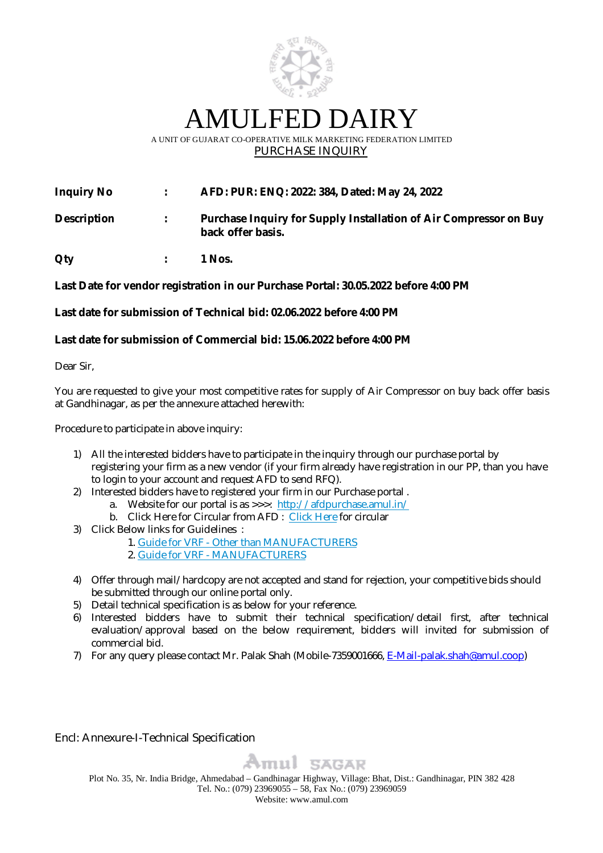

AMULFED DAIRY

### A UNIT OF GUJARAT CO-OPERATIVE MILK MARKETING FEDERATION LIMITED PURCHASE INQUIRY

**Inquiry No : AFD: PUR: ENQ: 2022: 384, Dated: May 24, 2022**

| <b>Description</b> | Purchase Inquiry for Supply Installation of Air Compressor on Buy<br>back offer basis. |
|--------------------|----------------------------------------------------------------------------------------|
|                    |                                                                                        |

**Qty : 1 Nos.**

## **Last Date for vendor registration in our Purchase Portal: 30.05.2022 before 4:00 PM**

## **Last date for submission of Technical bid: 02.06.2022 before 4:00 PM**

## **Last date for submission of Commercial bid: 15.06.2022 before 4:00 PM**

Dear Sir,

You are requested to give your most competitive rates for supply of Air Compressor on buy back offer basis at Gandhinagar, as per the annexure attached herewith:

Procedure to participate in above inquiry:

- 1) All the interested bidders have to participate in the inquiry through our purchase portal by registering your firm as a new vendor (if your firm already have registration in our PP, than you have to login to your account and request AFD to send RFQ).
- 2) Interested bidders have to registered your firm in our Purchase portal .
	- a. Website for our portal is as >>>: http://afdpurchase.amul.in/
	- b. Click Here for Circular from AFD : Click Here for circular
- 3) Click Below links for Guidelines :
	- 1. Guide for VRF Other than MANUFACTURERS
	- 2. Guide for VRF MANUFACTURERS
- 4) Offer through mail/hardcopy are not accepted and stand for rejection, your competitive bids should be submitted through our online portal only.
- 5) Detail technical specification is as below for your reference.
- 6) Interested bidders have to submit their technical specification/detail first, after technical evaluation/approval based on the below requirement, bidders will invited for submission of commercial bid.
- 7) For any query please contact Mr. Palak Shah (Mobile-7359001666, E-Mail-palak.shah@amul.coop)

Encl: Annexure-I-Technical Specification



Plot No. 35, Nr. India Bridge, Ahmedabad – Gandhinagar Highway, Village: Bhat, Dist.: Gandhinagar, PIN 382 428 Tel. No.: (079) 23969055 – 58, Fax No.: (079) 23969059 Website: www.amul.com